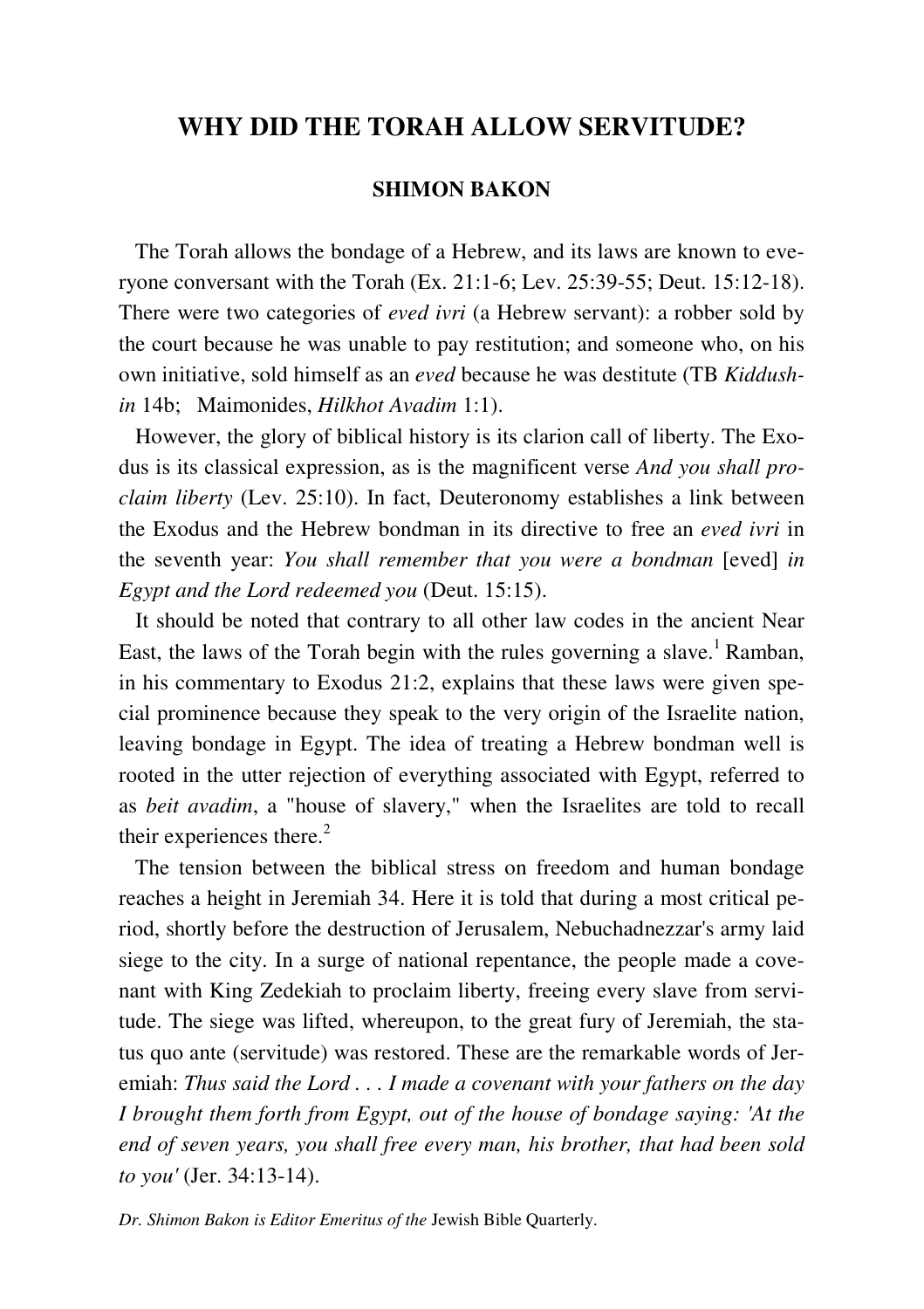# **WHY DID THE TORAH ALLOW SERVITUDE?**

## **SHIMON BAKON**

 The Torah allows the bondage of a Hebrew, and its laws are known to everyone conversant with the Torah (Ex. 21:1-6; Lev. 25:39-55; Deut. 15:12-18). There were two categories of *eved ivri* (a Hebrew servant): a robber sold by the court because he was unable to pay restitution; and someone who, on his own initiative, sold himself as an *eved* because he was destitute (TB *Kiddushin* 14b; Maimonides, *Hilkhot Avadim* 1:1).

 However, the glory of biblical history is its clarion call of liberty. The Exodus is its classical expression, as is the magnificent verse *And you shall proclaim liberty* (Lev. 25:10). In fact, Deuteronomy establishes a link between the Exodus and the Hebrew bondman in its directive to free an *eved ivri* in the seventh year: *You shall remember that you were a bondman* [eved] *in Egypt and the Lord redeemed you* (Deut. 15:15).

 It should be noted that contrary to all other law codes in the ancient Near East, the laws of the Torah begin with the rules governing a slave.<sup>1</sup> Ramban, in his commentary to Exodus 21:2, explains that these laws were given special prominence because they speak to the very origin of the Israelite nation, leaving bondage in Egypt. The idea of treating a Hebrew bondman well is rooted in the utter rejection of everything associated with Egypt, referred to as *beit avadim*, a "house of slavery," when the Israelites are told to recall their experiences there.<sup>2</sup>

 The tension between the biblical stress on freedom and human bondage reaches a height in Jeremiah 34. Here it is told that during a most critical period, shortly before the destruction of Jerusalem, Nebuchadnezzar's army laid siege to the city. In a surge of national repentance, the people made a covenant with King Zedekiah to proclaim liberty, freeing every slave from servitude. The siege was lifted, whereupon, to the great fury of Jeremiah, the status quo ante (servitude) was restored. These are the remarkable words of Jeremiah: *Thus said the Lord . . . I made a covenant with your fathers on the day I brought them forth from Egypt, out of the house of bondage saying: 'At the end of seven years, you shall free every man, his brother, that had been sold to you'* (Jer. 34:13-14).

*Dr. Shimon Bakon is Editor Emeritus of the* Jewish Bible Quarterly.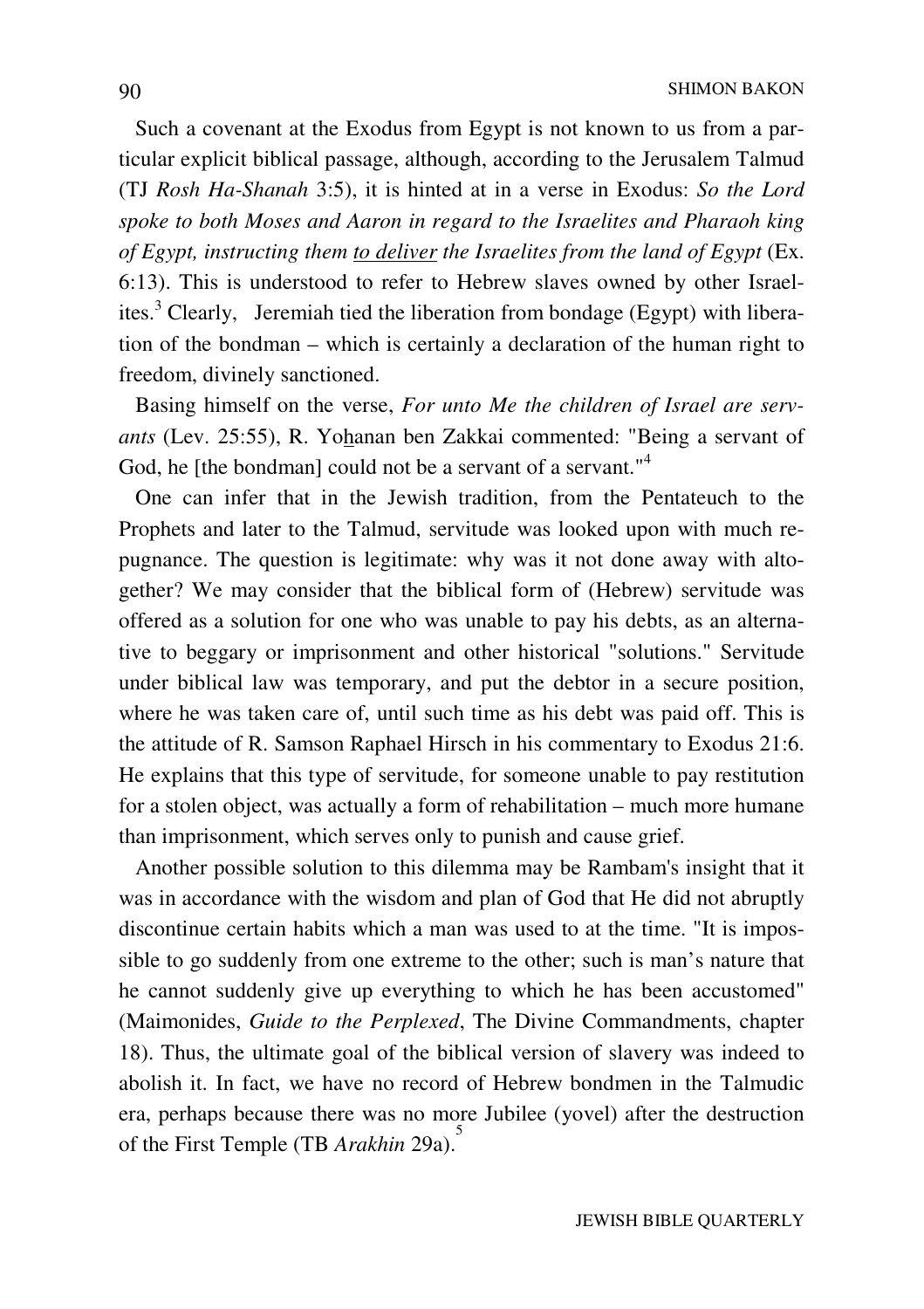Such a covenant at the Exodus from Egypt is not known to us from a particular explicit biblical passage, although, according to the Jerusalem Talmud (TJ *Rosh Ha-Shanah* 3:5), it is hinted at in a verse in Exodus: *So the Lord spoke to both Moses and Aaron in regard to the Israelites and Pharaoh king of Egypt, instructing them to deliver the Israelites from the land of Egypt* (Ex. 6:13). This is understood to refer to Hebrew slaves owned by other Israelites.<sup>3</sup> Clearly, Jeremiah tied the liberation from bondage (Egypt) with liberation of the bondman – which is certainly a declaration of the human right to freedom, divinely sanctioned.

 Basing himself on the verse, *For unto Me the children of Israel are servants* (Lev. 25:55), R. Yohanan ben Zakkai commented: "Being a servant of God, he [the bondman] could not be a servant of a servant."<sup>4</sup>

 One can infer that in the Jewish tradition, from the Pentateuch to the Prophets and later to the Talmud, servitude was looked upon with much repugnance. The question is legitimate: why was it not done away with altogether? We may consider that the biblical form of (Hebrew) servitude was offered as a solution for one who was unable to pay his debts, as an alternative to beggary or imprisonment and other historical "solutions." Servitude under biblical law was temporary, and put the debtor in a secure position, where he was taken care of, until such time as his debt was paid off. This is the attitude of R. Samson Raphael Hirsch in his commentary to Exodus 21:6. He explains that this type of servitude, for someone unable to pay restitution for a stolen object, was actually a form of rehabilitation – much more humane than imprisonment, which serves only to punish and cause grief.

 Another possible solution to this dilemma may be Rambam's insight that it was in accordance with the wisdom and plan of God that He did not abruptly discontinue certain habits which a man was used to at the time. "It is impossible to go suddenly from one extreme to the other; such is man's nature that he cannot suddenly give up everything to which he has been accustomed" (Maimonides, *Guide to the Perplexed*, The Divine Commandments, chapter 18). Thus, the ultimate goal of the biblical version of slavery was indeed to abolish it. In fact, we have no record of Hebrew bondmen in the Talmudic era, perhaps because there was no more Jubilee (yovel) after the destruction of the First Temple (TB *Arakhin* 29a). 5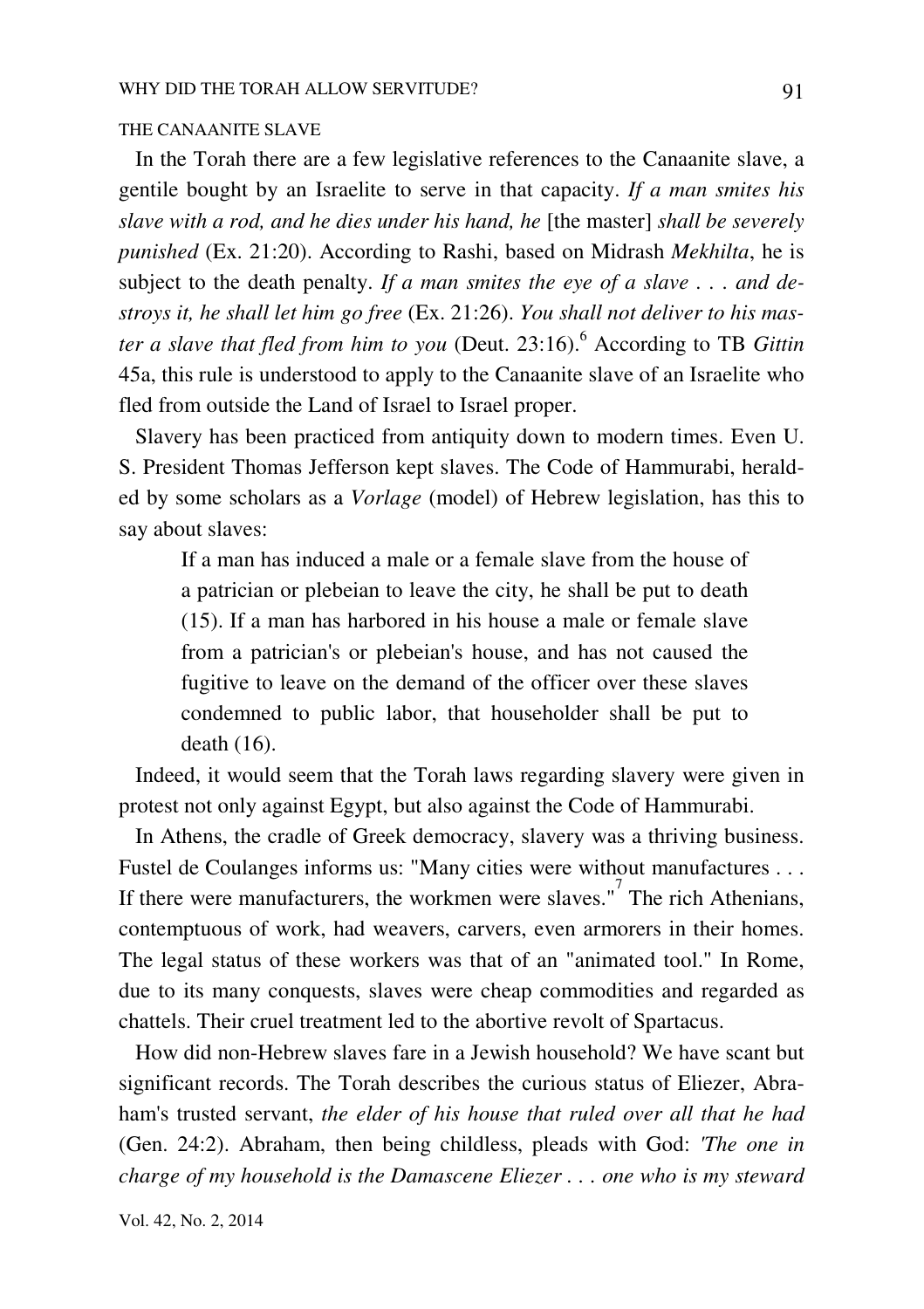### THE CANAANITE SLAVE

 In the Torah there are a few legislative references to the Canaanite slave, a gentile bought by an Israelite to serve in that capacity. *If a man smites his slave with a rod, and he dies under his hand, he* [the master] *shall be severely punished* (Ex. 21:20). According to Rashi, based on Midrash *Mekhilta*, he is subject to the death penalty. *If a man smites the eye of a slave . . . and destroys it, he shall let him go free* (Ex. 21:26). *You shall not deliver to his master a slave that fled from him to you* (Deut. 23:16).<sup>6</sup> According to TB *Gittin* 45a, this rule is understood to apply to the Canaanite slave of an Israelite who fled from outside the Land of Israel to Israel proper.

 Slavery has been practiced from antiquity down to modern times. Even U. S. President Thomas Jefferson kept slaves. The Code of Hammurabi, heralded by some scholars as a *Vorlage* (model) of Hebrew legislation, has this to say about slaves:

If a man has induced a male or a female slave from the house of a patrician or plebeian to leave the city, he shall be put to death (15). If a man has harbored in his house a male or female slave from a patrician's or plebeian's house, and has not caused the fugitive to leave on the demand of the officer over these slaves condemned to public labor, that householder shall be put to death (16).

 Indeed, it would seem that the Torah laws regarding slavery were given in protest not only against Egypt, but also against the Code of Hammurabi.

 In Athens, the cradle of Greek democracy, slavery was a thriving business. Fustel de Coulanges informs us: "Many cities were without manufactures . . . If there were manufacturers, the workmen were slaves."<sup>7</sup> The rich Athenians, contemptuous of work, had weavers, carvers, even armorers in their homes. The legal status of these workers was that of an "animated tool." In Rome, due to its many conquests, slaves were cheap commodities and regarded as chattels. Their cruel treatment led to the abortive revolt of Spartacus.

 How did non-Hebrew slaves fare in a Jewish household? We have scant but significant records. The Torah describes the curious status of Eliezer, Abraham's trusted servant, *the elder of his house that ruled over all that he had* (Gen. 24:2). Abraham, then being childless, pleads with God: *'The one in charge of my household is the Damascene Eliezer . . . one who is my steward*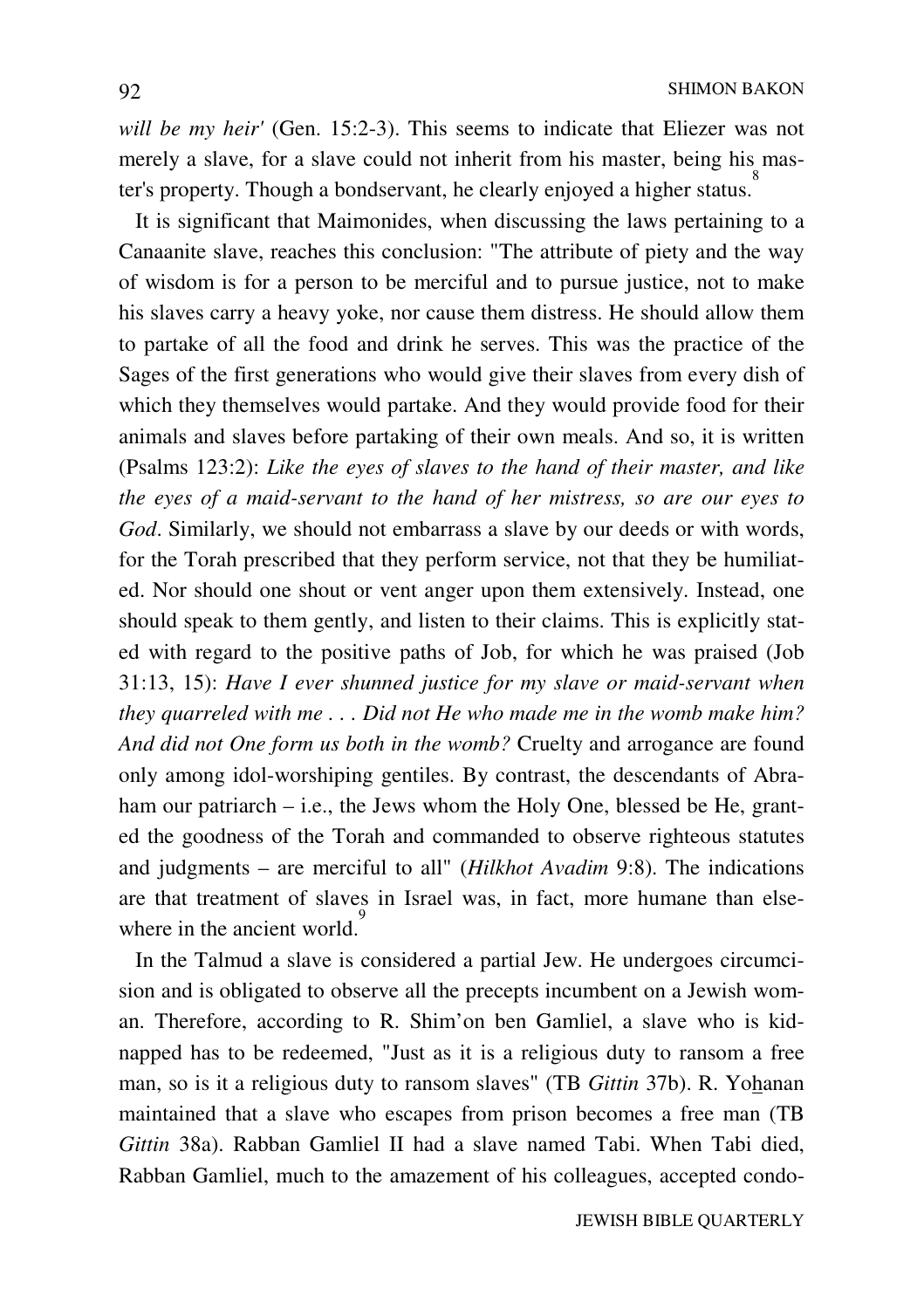*will be my heir'* (Gen. 15:2-3). This seems to indicate that Eliezer was not merely a slave, for a slave could not inherit from his master, being his master's property. Though a bondservant, he clearly enjoyed a higher status. 8

 It is significant that Maimonides, when discussing the laws pertaining to a Canaanite slave, reaches this conclusion: "The attribute of piety and the way of wisdom is for a person to be merciful and to pursue justice, not to make his slaves carry a heavy yoke, nor cause them distress. He should allow them to partake of all the food and drink he serves. This was the practice of the Sages of the first generations who would give their slaves from every dish of which they themselves would partake. And they would provide food for their animals and slaves before partaking of their own meals. And so, it is written (Psalms 123:2): *Like the eyes of slaves to the hand of their master, and like the eyes of a maid-servant to the hand of her mistress, so are our eyes to God*. Similarly, we should not embarrass a slave by our deeds or with words, for the Torah prescribed that they perform service, not that they be humiliated. Nor should one shout or vent anger upon them extensively. Instead, one should speak to them gently, and listen to their claims. This is explicitly stated with regard to the positive paths of Job, for which he was praised (Job 31:13, 15): *Have I ever shunned justice for my slave or maid-servant when they quarreled with me . . . Did not He who made me in the womb make him? And did not One form us both in the womb?* Cruelty and arrogance are found only among idol-worshiping gentiles. By contrast, the descendants of Abraham our patriarch – i.e., the Jews whom the Holy One, blessed be He, granted the goodness of the Torah and commanded to observe righteous statutes and judgments – are merciful to all" (*Hilkhot Avadim* 9:8). The indications are that treatment of slaves in Israel was, in fact, more humane than elsewhere in the ancient world.<sup>9</sup>

 In the Talmud a slave is considered a partial Jew. He undergoes circumcision and is obligated to observe all the precepts incumbent on a Jewish woman. Therefore, according to R. Shim'on ben Gamliel, a slave who is kidnapped has to be redeemed, "Just as it is a religious duty to ransom a free man, so is it a religious duty to ransom slaves" (TB *Gittin* 37b). R. Yohanan maintained that a slave who escapes from prison becomes a free man (TB *Gittin* 38a). Rabban Gamliel II had a slave named Tabi. When Tabi died, Rabban Gamliel, much to the amazement of his colleagues, accepted condo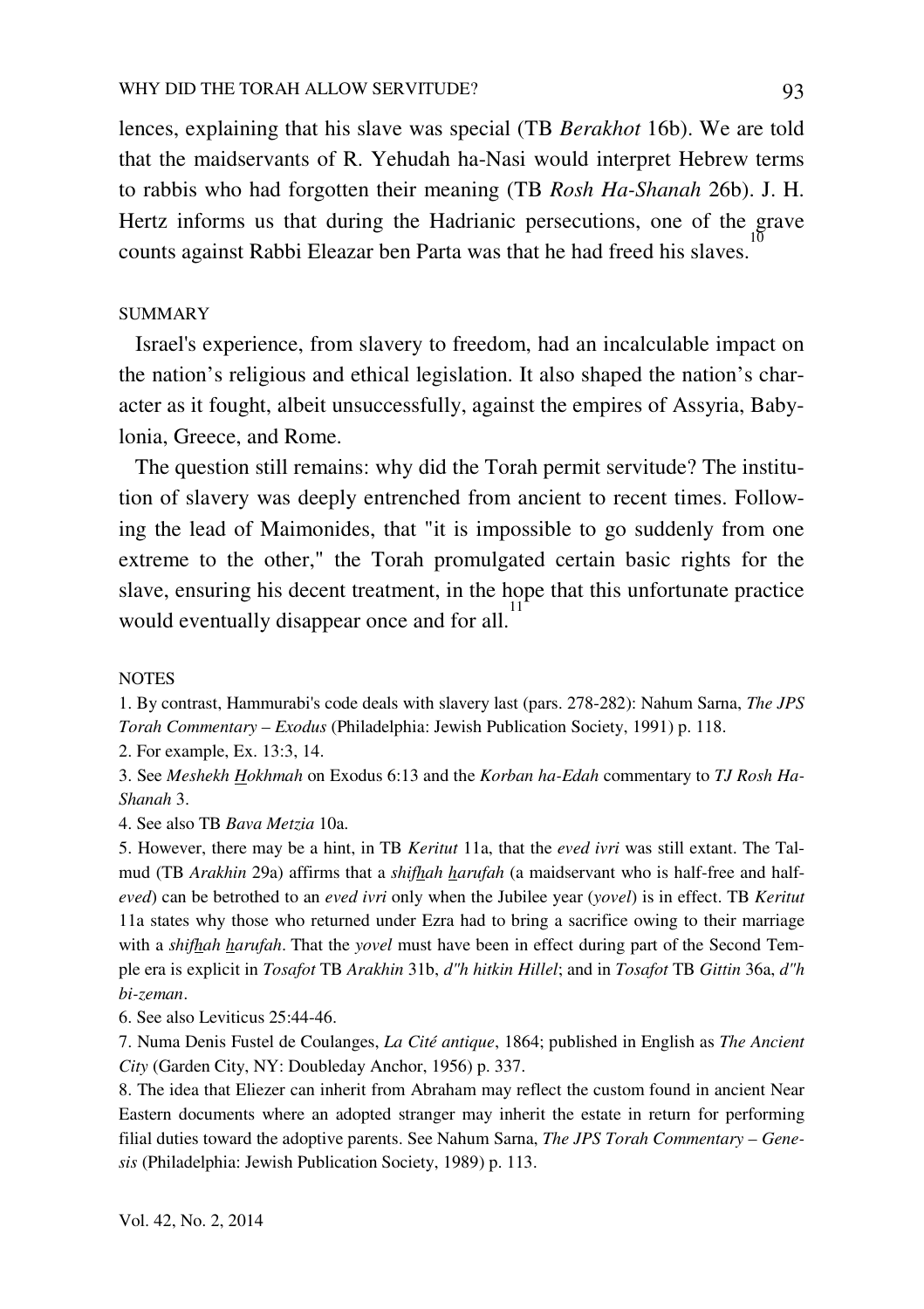lences, explaining that his slave was special (TB *Berakhot* 16b). We are told that the maidservants of R. Yehudah ha-Nasi would interpret Hebrew terms to rabbis who had forgotten their meaning (TB *Rosh Ha-Shanah* 26b). J. H. Hertz informs us that during the Hadrianic persecutions, one of the grave counts against Rabbi Eleazar ben Parta was that he had freed his slaves. 10

## SUMMARY

 Israel's experience, from slavery to freedom, had an incalculable impact on the nation's religious and ethical legislation. It also shaped the nation's character as it fought, albeit unsuccessfully, against the empires of Assyria, Babylonia, Greece, and Rome.

 The question still remains: why did the Torah permit servitude? The institution of slavery was deeply entrenched from ancient to recent times. Following the lead of Maimonides, that "it is impossible to go suddenly from one extreme to the other," the Torah promulgated certain basic rights for the slave, ensuring his decent treatment, in the hope that this unfortunate practice would eventually disappear once and for all.<sup>11</sup>

#### **NOTES**

1. By contrast, Hammurabi's code deals with slavery last (pars. 278-282): Nahum Sarna, *The JPS Torah Commentary – Exodus* (Philadelphia: Jewish Publication Society, 1991) p. 118.

2. For example, Ex. 13:3, 14.

3. See *Meshekh Hokhmah* on Exodus 6:13 and the *Korban ha-Edah* commentary to *TJ Rosh Ha-Shanah* 3.

4. See also TB *Bava Metzia* 10a.

5. However, there may be a hint, in TB *Keritut* 11a, that the *eved ivri* was still extant. The Talmud (TB *Arakhin* 29a) affirms that a *shifhah harufah* (a maidservant who is half-free and half*eved*) can be betrothed to an *eved ivri* only when the Jubilee year (*yovel*) is in effect. TB *Keritut* 11a states why those who returned under Ezra had to bring a sacrifice owing to their marriage with a *shifhah harufah*. That the *yovel* must have been in effect during part of the Second Temple era is explicit in *Tosafot* TB *Arakhin* 31b, *d"h hitkin Hillel*; and in *Tosafot* TB *Gittin* 36a, *d"h bi-zeman*.

6. See also Leviticus 25:44-46.

7. Numa Denis Fustel de Coulanges, *La Cité antique*, 1864; published in English as *The Ancient City* (Garden City, NY: Doubleday Anchor, 1956) p. 337.

8. The idea that Eliezer can inherit from Abraham may reflect the custom found in ancient Near Eastern documents where an adopted stranger may inherit the estate in return for performing filial duties toward the adoptive parents. See Nahum Sarna, *The JPS Torah Commentary – Genesis* (Philadelphia: Jewish Publication Society, 1989) p. 113.